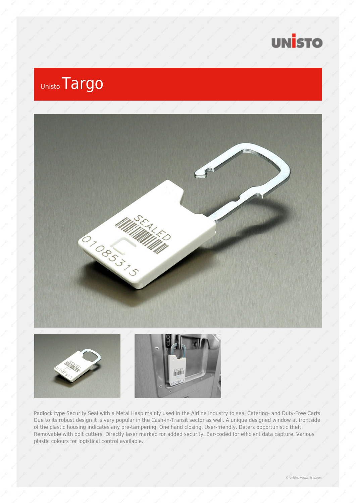

# Unisto Targo





Padlock type Security Seal with a Metal Hasp mainly used in the Airline Industry to seal Catering- and Duty-Free Carts. Due to its robust design it is very popular in the Cash-in-Transit sector as well. A unique designed window at frontside of the plastic housing indicates any pre-tampering. One hand closing. User-friendly. Deters opportunistic theft. Removable with bolt cutters. Directly laser marked for added security. Bar-coded for efficient data capture. Various plastic colours for logistical control available.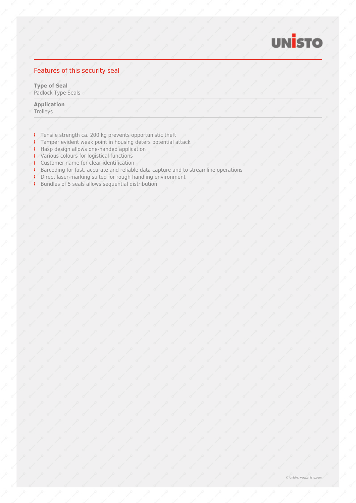

## Features of this security seal

**Type of Seal** Padlock Type Seals

**Application Trolleys** 

- Tensile strength ca. 200 kg prevents opportunistic theft
- Tamper evident weak point in housing deters potential attack
- Hasp design allows one-handed application
- Various colours for logistical functions
- Customer name for clear identification
- Barcoding for fast, accurate and reliable data capture and to streamline operations
- Direct laser-marking suited for rough handling environment
- Bundles of 5 seals allows sequential distribution